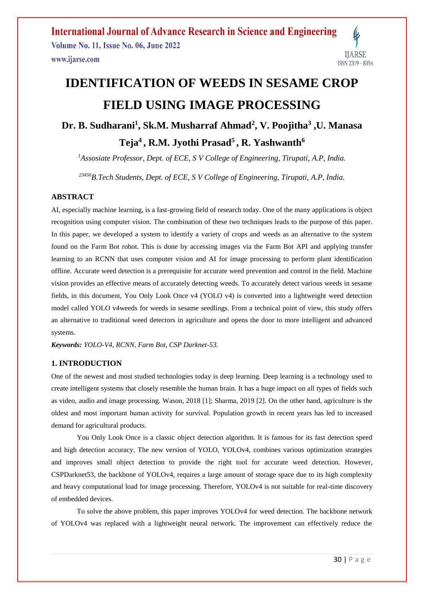**International Journal of Advance Research in Science and Engineering Volume No. 11, Issue No. 06, June 2022 IJARSE** www.ijarse.com ISSN 2319 - 8354

# **IDENTIFICATION OF WEEDS IN SESAME CROP FIELD USING IMAGE PROCESSING**

# **Dr. B. Sudharani<sup>1</sup> , Sk.M. Musharraf Ahmad<sup>2</sup> , V. Poojitha<sup>3</sup> ,U. Manasa Teja<sup>4</sup>, R.M. Jyothi Prasad<sup>5</sup>, R. Yashwanth<sup>6</sup>**

*<sup>1</sup>Assosiate Professor, Dept. of ECE, S V College of Engineering, Tirupati, A.P, India.*

*<sup>23456</sup>B.Tech Students, Dept. of ECE, S V College of Engineering, Tirupati, A.P, India.*

## **ABSTRACT**

AI, especially machine learning, is a fast-growing field of research today. One of the many applications is object recognition using computer vision. The combination of these two techniques leads to the purpose of this paper. In this paper, we developed a system to identify a variety of crops and weeds as an alternative to the system found on the Farm Bot robot. This is done by accessing images via the Farm Bot API and applying transfer learning to an RCNN that uses computer vision and AI for image processing to perform plant identification offline. Accurate weed detection is a prerequisite for accurate weed prevention and control in the field. Machine vision provides an effective means of accurately detecting weeds. To accurately detect various weeds in sesame fields, in this document, You Only Look Once v4 (YOLO v4) is converted into a lightweight weed detection model called YOLO v4weeds for weeds in sesame seedlings. From a technical point of view, this study offers an alternative to traditional weed detectors in agriculture and opens the door to more intelligent and advanced systems.

*Keywords: YOLO-V4, RCNN, Farm Bot, CSP Darknet-53.* 

## **1. INTRODUCTION**

One of the newest and most studied technologies today is deep learning. Deep learning is a technology used to create intelligent systems that closely resemble the human brain. It has a huge impact on all types of fields such as video, audio and image processing. Wason, 2018 [1]; Sharma, 2019 [2]. On the other hand, agriculture is the oldest and most important human activity for survival. Population growth in recent years has led to increased demand for agricultural products.

You Only Look Once is a classic object detection algorithm. It is famous for its fast detection speed and high detection accuracy. The new version of YOLO, YOLOv4, combines various optimization strategies and improves small object detection to provide the right tool for accurate weed detection. However, CSPDarknet53, the backbone of YOLOv4, requires a large amount of storage space due to its high complexity and heavy computational load for image processing. Therefore, YOLOv4 is not suitable for real-time discovery of embedded devices.

To solve the above problem, this paper improves YOLOv4 for weed detection. The backbone network of YOLOv4 was replaced with a lightweight neural network. The improvement can effectively reduce the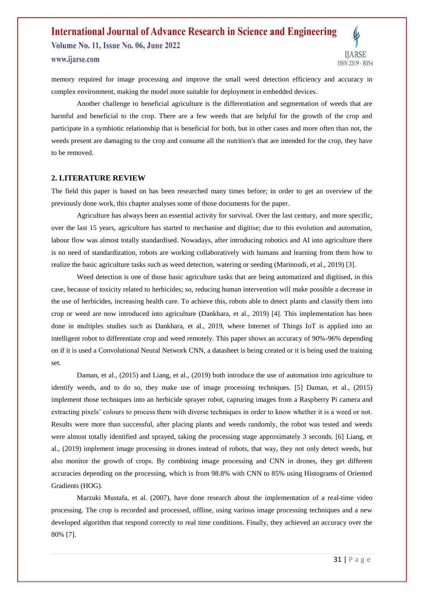**Volume No. 11, Issue No. 06, June 2022** 



www.ijarse.com

memory required for image processing and improve the small weed detection efficiency and accuracy in complex environment, making the model more suitable for deployment in embedded devices.

Another challenge to beneficial agriculture is the differentiation and segmentation of weeds that are harmful and beneficial to the crop. There are a few weeds that are helpful for the growth of the crop and participate in a symbiotic relationship that is beneficial for both, but in other cases and more often than not, the weeds present are damaging to the crop and consume all the nutrition's that are intended for the crop, they have to be removed.

#### **2. LITERATURE REVIEW**

The field this paper is based on has been researched many times before; in order to get an overview of the previously done work, this chapter analyses some of those documents for the paper.

Agriculture has always been an essential activity for survival. Over the last century, and more specific, over the last 15 years, agriculture has started to mechanise and digitise; due to this evolution and automation, labour flow was almost totally standardised. Nowadays, after introducing robotics and AI into agriculture there is no need of standardization, robots are working collaboratively with humans and learning from them how to realize the basic agriculture tasks such as weed detection, watering or seeding (Marinoudi, et al., 2019) [3].

Weed detection is one of those basic agriculture tasks that are being automatized and digitised, in this case, because of toxicity related to herbicides; so, reducing human intervention will make possible a decrease in the use of herbicides, increasing health care. To achieve this, robots able to detect plants and classify them into crop or weed are now introduced into agriculture (Dankhara, et al., 2019) [4]. This implementation has been done in multiples studies such as Dankhara, et al., 2019, where Internet of Things IoT is applied into an intelligent robot to differentiate crop and weed remotely. This paper shows an accuracy of 90%-96% depending on if it is used a Convolutional Neural Network CNN, a datasheet is being created or it is being used the training set.

Daman, et al., (2015) and Liang, et al., (2019) both introduce the use of automation into agriculture to identify weeds, and to do so, they make use of image processing techniques. [5] Daman, et al., (2015) implement those techniques into an herbicide sprayer robot, capturing images from a Raspberry Pi camera and extracting pixels' colours to process them with diverse techniques in order to know whether it is a weed or not. Results were more than successful, after placing plants and weeds randomly, the robot was tested and weeds were almost totally identified and sprayed, taking the processing stage approximately 3 seconds. [6] Liang, et al., (2019) implement image processing in drones instead of robots, that way, they not only detect weeds, but also monitor the growth of crops. By combining image processing and CNN in drones, they get different accuracies depending on the processing, which is from 98.8% with CNN to 85% using Histograms of Oriented Gradients (HOG).

Marzuki Mustafa, et al. (2007), have done research about the implementation of a real-time video processing. The crop is recorded and processed, offline, using various image processing techniques and a new developed algorithm that respond correctly to real time conditions. Finally, they achieved an accuracy over the 80% [7].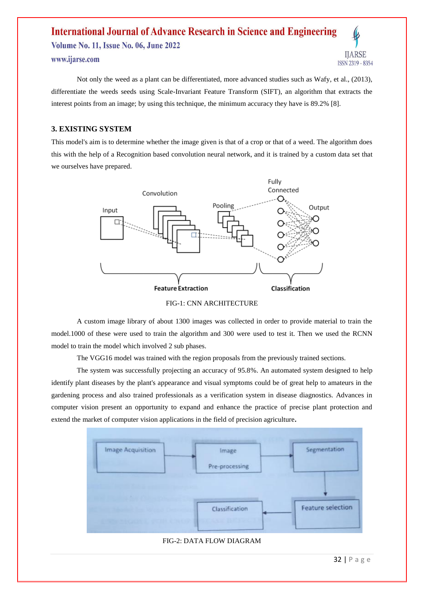**Volume No. 11, Issue No. 06, June 2022** 

www.ijarse.com



## **3. EXISTING SYSTEM**

This model's aim is to determine whether the image given is that of a crop or that of a weed. The algorithm does this with the help of a Recognition based convolution neural network, and it is trained by a custom data set that we ourselves have prepared.



FIG-1: CNN ARCHITECTURE

A custom image library of about 1300 images was collected in order to provide material to train the model.1000 of these were used to train the algorithm and 300 were used to test it. Then we used the RCNN model to train the model which involved 2 sub phases.

The VGG16 model was trained with the region proposals from the previously trained sections.

The system was successfully projecting an accuracy of 95.8%. An automated system designed to help identify plant diseases by the plant's appearance and visual symptoms could be of great help to amateurs in the gardening process and also trained professionals as a verification system in disease diagnostics. Advances in computer vision present an opportunity to expand and enhance the practice of precise plant protection and extend the market of computer vision applications in the field of precision agriculture**.**



## FIG-2: DATA FLOW DIAGRAM

**IJARSE** 

ISSN 2319 - 8354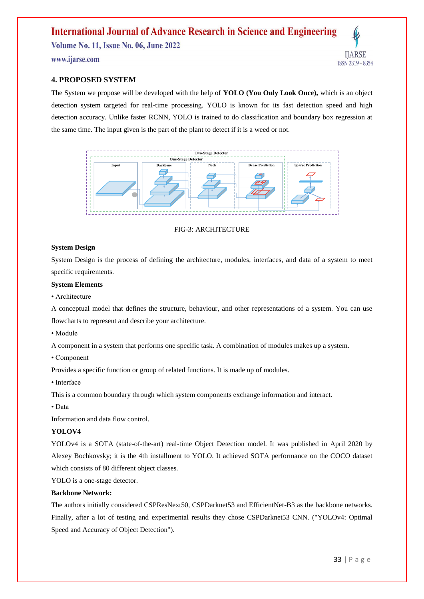**Volume No. 11, Issue No. 06, June 2022** 

www.ijarse.com



## **4. PROPOSED SYSTEM**

The System we propose will be developed with the help of **YOLO (You Only Look Once),** which is an object detection system targeted for real-time processing. YOLO is known for its fast detection speed and high detection accuracy. Unlike faster RCNN, YOLO is trained to do classification and boundary box regression at the same time. The input given is the part of the plant to detect if it is a weed or not.



## FIG-3: ARCHITECTURE

## **System Design**

System Design is the process of defining the architecture, modules, interfaces, and data of a system to meet specific requirements.

#### **System Elements**

• Architecture

A conceptual model that defines the structure, behaviour, and other representations of a system. You can use flowcharts to represent and describe your architecture.

• Module

A component in a system that performs one specific task. A combination of modules makes up a system.

• Component

Provides a specific function or group of related functions. It is made up of modules.

• Interface

This is a common boundary through which system components exchange information and interact.

• Data

Information and data flow control.

## **YOLOV4**

YOLOv4 is a SOTA (state-of-the-art) real-time Object Detection model. It was published in April 2020 by Alexey Bochkovsky; it is the 4th installment to YOLO. It achieved SOTA performance on the COCO dataset which consists of 80 different object classes.

YOLO is a one-stage detector.

#### **Backbone Network:**

The authors initially considered CSPResNext50, CSPDarknet53 and EfficientNet-B3 as the backbone networks. Finally, after a lot of testing and experimental results they chose CSPDarknet53 CNN. ("YOLOv4: Optimal Speed and Accuracy of Object Detection").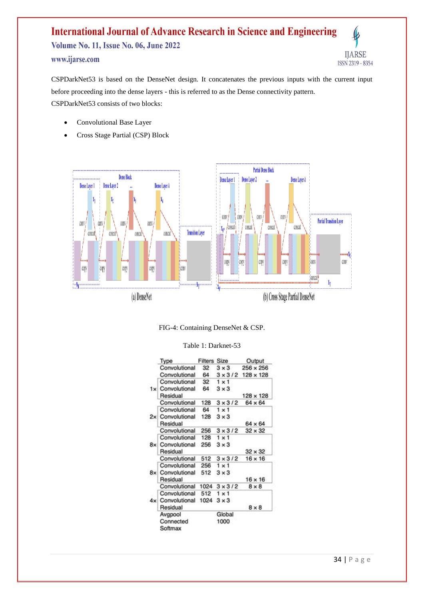## **International Journal of Advance Research in Science and Engineering Volume No. 11, Issue No. 06, June 2022** www.ijarse.com ISSN 2319 - 8354

CSPDarkNet53 is based on the DenseNet design. It concatenates the previous inputs with the current input before proceeding into the dense layers - this is referred to as the Dense connectivity pattern. CSPDarkNet53 consists of two blocks:

- Convolutional Base Layer
- Cross Stage Partial (CSP) Block



FIG-4: Containing DenseNet & CSP.

| Table 1: Darknet-53 |
|---------------------|
|---------------------|

|  | Type                 | <b>Filters Size</b> |                | Output           |
|--|----------------------|---------------------|----------------|------------------|
|  | Convolutional        | 32                  | $3 \times 3$   | $256 \times 256$ |
|  | Convolutional        | 64                  | $3 \times 3/2$ | $128 \times 128$ |
|  | Convolutional        | 32                  | $1 \times 1$   |                  |
|  | 1x Convolutional     | 64                  | $3 \times 3$   |                  |
|  | Residual             |                     |                | $128 \times 128$ |
|  | Convolutional        | 128                 | $3 \times 3/2$ | 64 x 64          |
|  | Convolutional        | 64                  | $1 \times 1$   |                  |
|  | 2x Convolutional     | 128                 | $3 \times 3$   |                  |
|  | Residual             |                     |                | $64 \times 64$   |
|  | Convolutional        | 256                 | $3 \times 3/2$ | $32 \times 32$   |
|  | Convolutional        | 128                 | $1 \times 1$   |                  |
|  | 8x Convolutional 256 |                     | $3 \times 3$   |                  |
|  | Residual             |                     |                | $32 \times 32$   |
|  | Convolutional        | 512                 | $3 \times 3/2$ | $16 \times 16$   |
|  | Convolutional        | 256                 | $1 \times 1$   |                  |
|  | 8x Convolutional     | 512                 | $3 \times 3$   |                  |
|  | Residual             |                     |                | $16 \times 16$   |
|  | Convolutional        | 1024                | $3 \times 3/2$ | $8 \times 8$     |
|  | Convolutional        | 512                 | $1 \times 1$   |                  |
|  | 4x Convolutional     | 1024                | $3 \times 3$   |                  |
|  | Residual             |                     |                | $8 \times 8$     |
|  | Avgpool              |                     | Global         |                  |
|  | Connected<br>Softmax |                     | 1000           |                  |

**IJARSE**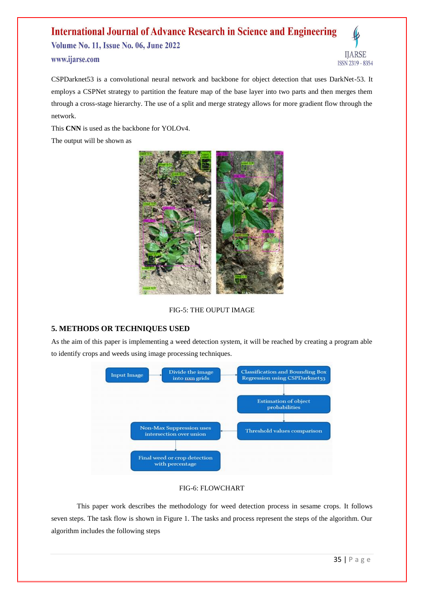**Volume No. 11, Issue No. 06, June 2022** 



www.ijarse.com

CSPDarknet53 is a convolutional neural network and backbone for object detection that uses DarkNet-53. It employs a CSPNet strategy to partition the feature map of the base layer into two parts and then merges them through a cross-stage hierarchy. The use of a split and merge strategy allows for more gradient flow through the network.

This **CNN** is used as the backbone for YOLOv4.





FIG-5: THE OUPUT IMAGE

## **5. METHODS OR TECHNIQUES USED**

As the aim of this paper is implementing a weed detection system, it will be reached by creating a program able to identify crops and weeds using image processing techniques.



## FIG-6: FLOWCHART

This paper work describes the methodology for weed detection process in sesame crops. It follows seven steps. The task flow is shown in Figure 1. The tasks and process represent the steps of the algorithm. Our algorithm includes the following steps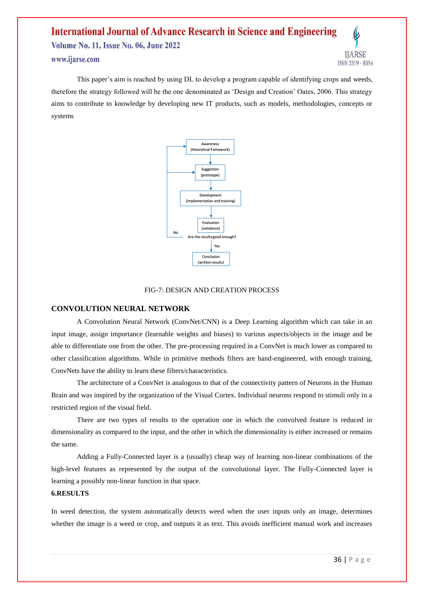# **International Journal of Advance Research in Science and Engineering Volume No. 11, Issue No. 06, June 2022**

www.ijarse.com

This paper's aim is reached by using DL to develop a program capable of identifying crops and weeds, therefore the strategy followed will be the one denominated as 'Design and Creation' Oates, 2006. This strategy aims to contribute to knowledge by developing new IT products, such as models, methodologies, concepts or systems



## FIG-7: DESIGN AND CREATION PROCESS

## **CONVOLUTION NEURAL NETWORK**

A Convolution Neural Network (ConvNet/CNN) is a Deep Learning algorithm which can take in an input image, assign importance (learnable weights and biases) to various aspects/objects in the image and be able to differentiate one from the other. The pre-processing required in a ConvNet is much lower as compared to other classification algorithms. While in primitive methods filters are hand-engineered, with enough training, ConvNets have the ability to learn these filters/characteristics.

The architecture of a ConvNet is analogous to that of the connectivity pattern of Neurons in the Human Brain and was inspired by the organization of the Visual Cortex. Individual neurons respond to stimuli only in a restricted region of the visual field.

There are two types of results to the operation one in which the convolved feature is reduced in dimensionality as compared to the input, and the other in which the dimensionality is either increased or remains the same.

Adding a Fully-Connected layer is a (usually) cheap way of learning non-linear combinations of the high-level features as represented by the output of the convolutional layer. The Fully-Connected layer is learning a possibly non-linear function in that space.

#### **6.RESULTS**

In weed detection, the system automatically detects weed when the user inputs only an image, determines whether the image is a weed or crop, and outputs it as text. This avoids inefficient manual work and increases

**IJARSE** 

ISSN 2319 - 8354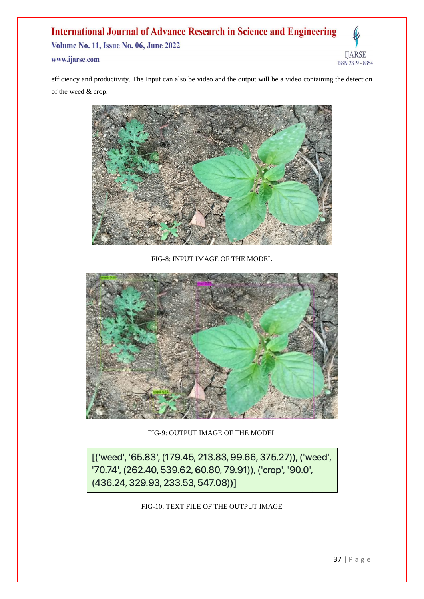**Volume No. 11, Issue No. 06, June 2022** www.ijarse.com

IJARSE ISSN 2319 - 8354

efficiency and productivity. The Input can also be video and the output will be a video containing the detection of the weed & crop.



FIG-8: INPUT IMAGE OF THE MODEL



FIG-9: OUTPUT IMAGE OF THE MODEL

[('weed', '65.83', (179.45, 213.83, 99.66, 375.27)), ('weed', '70.74', (262.40, 539.62, 60.80, 79.91)), ('crop', '90.0',  $(436.24, 329.93, 233.53, 547.08))$ 

FIG-10: TEXT FILE OF THE OUTPUT IMAGE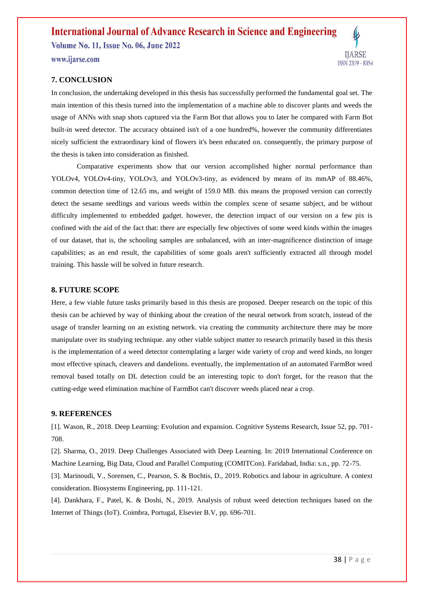**Volume No. 11, Issue No. 06, June 2022** 

www.ijarse.com



## **7. CONCLUSION**

In conclusion, the undertaking developed in this thesis has successfully performed the fundamental goal set. The main intention of this thesis turned into the implementation of a machine able to discover plants and weeds the usage of ANNs with snap shots captured via the Farm Bot that allows you to later be compared with Farm Bot built-in weed detector. The accuracy obtained isn't of a one hundred%, however the community differentiates nicely sufficient the extraordinary kind of flowers it's been educated on. consequently, the primary purpose of the thesis is taken into consideration as finished.

Comparative experiments show that our version accomplished higher normal performance than YOLOv4, YOLOv4-tiny, YOLOv3, and YOLOv3-tiny, as evidenced by means of its mmAP of 88.46%, common detection time of 12.65 ms, and weight of 159.0 MB. this means the proposed version can correctly detect the sesame seedlings and various weeds within the complex scene of sesame subject, and be without difficulty implemented to embedded gadget. however, the detection impact of our version on a few pix is confined with the aid of the fact that: there are especially few objectives of some weed kinds within the images of our dataset, that is, the schooling samples are unbalanced, with an inter-magnificence distinction of image capabilities; as an end result, the capabilities of some goals aren't sufficiently extracted all through model training. This hassle will be solved in future research.

## **8. FUTURE SCOPE**

Here, a few viable future tasks primarily based in this thesis are proposed. Deeper research on the topic of this thesis can be achieved by way of thinking about the creation of the neural network from scratch, instead of the usage of transfer learning on an existing network. via creating the community architecture there may be more manipulate over its studying technique. any other viable subject matter to research primarily based in this thesis is the implementation of a weed detector contemplating a larger wide variety of crop and weed kinds, no longer most effective spinach, cleavers and dandelions. eventually, the implementation of an automated FarmBot weed removal based totally on DL detection could be an interesting topic to don't forget, for the reason that the cutting-edge weed elimination machine of FarmBot can't discover weeds placed near a crop.

## **9. REFERENCES**

[1]. Wason, R., 2018. Deep Learning: Evolution and expansion. Cognitive Systems Research, Issue 52, pp. 701- 708.

[2]. Sharma, O., 2019. Deep Challenges Associated with Deep Learning. In: 2019 International Conference on Machine Learning, Big Data, Cloud and Parallel Computing (COMITCon). Faridabad, India: s.n., pp. 72-75.

[3]. Marinoudi, V., Sorensen, C., Pearson, S. & Bochtis, D., 2019. Robotics and labour in agriculture. A context consideration. Biosystems Engineering, pp. 111-121.

[4]. Dankhara, F., Patel, K. & Doshi, N., 2019. Analysis of robust weed detection techniques based on the Internet of Things (IoT). Coimbra, Portugal, Elsevier B.V, pp. 696-701.